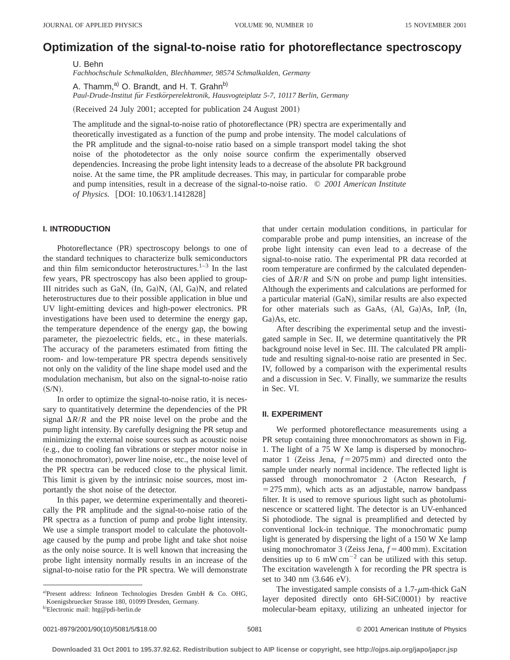# **Optimization of the signal-to-noise ratio for photoreflectance spectroscopy**

U. Behn *Fachhochschule Schmalkalden, Blechhammer, 98574 Schmalkalden, Germany*

A. Thamm,<sup>a)</sup> O. Brandt, and H. T. Grahn<sup>b)</sup> *Paul-Drude-Institut fu¨r Festko¨rperelektronik, Hausvogteiplatz 5-7, 10117 Berlin, Germany*

(Received 24 July 2001; accepted for publication 24 August 2001)

The amplitude and the signal-to-noise ratio of photoreflectance (PR) spectra are experimentally and theoretically investigated as a function of the pump and probe intensity. The model calculations of the PR amplitude and the signal-to-noise ratio based on a simple transport model taking the shot noise of the photodetector as the only noise source confirm the experimentally observed dependencies. Increasing the probe light intensity leads to a decrease of the absolute PR background noise. At the same time, the PR amplitude decreases. This may, in particular for comparable probe and pump intensities, result in a decrease of the signal-to-noise ratio. © *2001 American Institute of Physics.* [DOI: 10.1063/1.1412828]

#### **I. INTRODUCTION**

Photoreflectance (PR) spectroscopy belongs to one of the standard techniques to characterize bulk semiconductors and thin film semiconductor heterostructures. $1-3$  In the last few years, PR spectroscopy has also been applied to group-III nitrides such as GaN, (In, Ga)N, (Al, Ga)N, and related heterostructures due to their possible application in blue und UV light-emitting devices and high-power electronics. PR investigations have been used to determine the energy gap, the temperature dependence of the energy gap, the bowing parameter, the piezoelectric fields, etc., in these materials. The accuracy of the parameters estimated from fitting the room- and low-temperature PR spectra depends sensitively not only on the validity of the line shape model used and the modulation mechanism, but also on the signal-to-noise ratio  $(S/N).$ 

In order to optimize the signal-to-noise ratio, it is necessary to quantitatively determine the dependencies of the PR signal  $\Delta R/R$  and the PR noise level on the probe and the pump light intensity. By carefully designing the PR setup and minimizing the external noise sources such as acoustic noise (e.g., due to cooling fan vibrations or stepper motor noise in the monochromator), power line noise, etc., the noise level of the PR spectra can be reduced close to the physical limit. This limit is given by the intrinsic noise sources, most importantly the shot noise of the detector.

In this paper, we determine experimentally and theoretically the PR amplitude and the signal-to-noise ratio of the PR spectra as a function of pump and probe light intensity. We use a simple transport model to calculate the photovoltage caused by the pump and probe light and take shot noise as the only noise source. It is well known that increasing the probe light intensity normally results in an increase of the signal-to-noise ratio for the PR spectra. We will demonstrate that under certain modulation conditions, in particular for comparable probe and pump intensities, an increase of the probe light intensity can even lead to a decrease of the signal-to-noise ratio. The experimental PR data recorded at room temperature are confirmed by the calculated dependencies of  $\Delta R/R$  and S/N on probe and pump light intensities. Although the experiments and calculations are performed for a particular material (GaN), similar results are also expected for other materials such as GaAs, (Al, Ga)As, InP, (In, Ga)As, etc.

After describing the experimental setup and the investigated sample in Sec. II, we determine quantitatively the PR background noise level in Sec. III. The calculated PR amplitude and resulting signal-to-noise ratio are presented in Sec. IV, followed by a comparison with the experimental results and a discussion in Sec. V. Finally, we summarize the results in Sec. VI.

#### **II. EXPERIMENT**

We performed photoreflectance measurements using a PR setup containing three monochromators as shown in Fig. 1. The light of a 75 W Xe lamp is dispersed by monochromator 1 (Zeiss Jena,  $f = 2075$  mm) and directed onto the sample under nearly normal incidence. The reflected light is passed through monochromator 2 (Acton Research, *f*  $=$  275 mm), which acts as an adjustable, narrow bandpass filter. It is used to remove spurious light such as photoluminescence or scattered light. The detector is an UV-enhanced Si photodiode. The signal is preamplified and detected by conventional lock-in technique. The monochromatic pump light is generated by dispersing the light of a 150 W Xe lamp using monochromator 3 (Zeiss Jena,  $f = 400$  mm). Excitation densities up to 6 mW cm<sup> $-2$ </sup> can be utilized with this setup. The excitation wavelength  $\lambda$  for recording the PR spectra is set to 340 nm (3.646 eV).

The investigated sample consists of a  $1.7$ - $\mu$ m-thick GaN layer deposited directly onto  $6H-SiC(0001)$  by reactive molecular-beam epitaxy, utilizing an unheated injector for

a)Present address: Infineon Technologies Dresden GmbH & Co. OHG, Koenigsbruecker Strasse 180, 01099 Dresden, Germany.

<sup>&</sup>lt;sup>b)</sup>Electronic mail: htg@pdi-berlin.de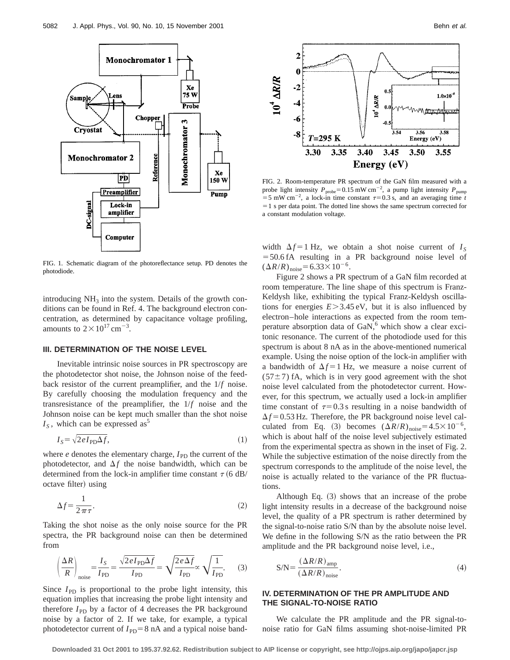

FIG. 1. Schematic diagram of the photoreflectance setup. PD denotes the photodiode.

introducing  $NH_3$  into the system. Details of the growth conditions can be found in Ref. 4. The background electron concentration, as determined by capacitance voltage profiling, amounts to  $2 \times 10^{17}$  cm<sup>-3</sup>.

## **III. DETERMINATION OF THE NOISE LEVEL**

Inevitable intrinsic noise sources in PR spectroscopy are the photodetector shot noise, the Johnson noise of the feedback resistor of the current preamplifier, and the 1/*f* noise. By carefully choosing the modulation frequency and the transresistance of the preamplifier, the 1/*f* noise and the Johnson noise can be kept much smaller than the shot noise  $I<sub>S</sub>$ , which can be expressed as<sup>3</sup>

$$
I_S = \sqrt{2eI_{\rm PD}\Delta f},\tag{1}
$$

where  $e$  denotes the elementary charge,  $I_{\rm PD}$  the current of the photodetector, and  $\Delta f$  the noise bandwidth, which can be determined from the lock-in amplifier time constant  $\tau$  (6 dB/ octave filter) using

$$
\Delta f = \frac{1}{2\pi\tau}.\tag{2}
$$

Taking the shot noise as the only noise source for the PR spectra, the PR background noise can then be determined from

$$
\left(\frac{\Delta R}{R}\right)_{\text{noise}} = \frac{I_S}{I_{\text{PD}}} = \frac{\sqrt{2eI_{\text{PD}}\Delta f}}{I_{\text{PD}}} = \sqrt{\frac{2e\Delta f}{I_{\text{PD}}}} \propto \sqrt{\frac{1}{I_{\text{PD}}}}.
$$
 (3)

Since  $I_{\text{PD}}$  is proportional to the probe light intensity, this equation implies that increasing the probe light intensity and therefore  $I_{\text{PD}}$  by a factor of 4 decreases the PR background noise by a factor of 2. If we take, for example, a typical photodetector current of  $I_{\rm PD}$ =8 nA and a typical noise band-



FIG. 2. Room-temperature PR spectrum of the GaN film measured with a probe light intensity  $P_{\text{probe}} = 0.15 \text{ mW cm}^{-2}$ , a pump light intensity  $P_{\text{pump}}$  $=$  5 mW cm<sup>-2</sup>, a lock-in time constant  $\tau$ = 0.3 s, and an averaging time *t*  $=1$  s per data point. The dotted line shows the same spectrum corrected for a constant modulation voltage.

width  $\Delta f = 1$  Hz, we obtain a shot noise current of  $I_s$  $=$  50.6 fA resulting in a PR background noise level of  $(\Delta R/R)_{\text{noise}}$ =6.33×10<sup>-6</sup>.

Figure 2 shows a PR spectrum of a GaN film recorded at room temperature. The line shape of this spectrum is Franz-Keldysh like, exhibiting the typical Franz-Keldysh oscillations for energies  $E > 3.45$  eV, but it is also influenced by electron–hole interactions as expected from the room temperature absorption data of  $\text{GaN}$ , which show a clear excitonic resonance. The current of the photodiode used for this spectrum is about 8 nA as in the above-mentioned numerical example. Using the noise option of the lock-in amplifier with a bandwidth of  $\Delta f = 1$  Hz, we measure a noise current of  $(57±7)$  fA, which is in very good agreement with the shot noise level calculated from the photodetector current. However, for this spectrum, we actually used a lock-in amplifier time constant of  $\tau=0.3$  s resulting in a noise bandwidth of  $\Delta f$  = 0.53 Hz. Therefore, the PR background noise level calculated from Eq. (3) becomes  $(\Delta R/R)_{\text{noise}}=4.5\times10^{-6}$ , which is about half of the noise level subjectively estimated from the experimental spectra as shown in the inset of Fig. 2. While the subjective estimation of the noise directly from the spectrum corresponds to the amplitude of the noise level, the noise is actually related to the variance of the PR fluctuations.

Although Eq.  $(3)$  shows that an increase of the probe light intensity results in a decrease of the background noise level, the quality of a PR spectrum is rather determined by the signal-to-noise ratio S/N than by the absolute noise level. We define in the following S/N as the ratio between the PR amplitude and the PR background noise level, i.e.,

$$
S/N = \frac{(\Delta R/R)_{amp}}{(\Delta R/R)_{noise}}.\tag{4}
$$

## **IV. DETERMINATION OF THE PR AMPLITUDE AND THE SIGNAL-TO-NOISE RATIO**

We calculate the PR amplitude and the PR signal-tonoise ratio for GaN films assuming shot-noise-limited PR

**Downloaded 31 Oct 2001 to 195.37.92.62. Redistribution subject to AIP license or copyright, see http://ojps.aip.org/japo/japcr.jsp**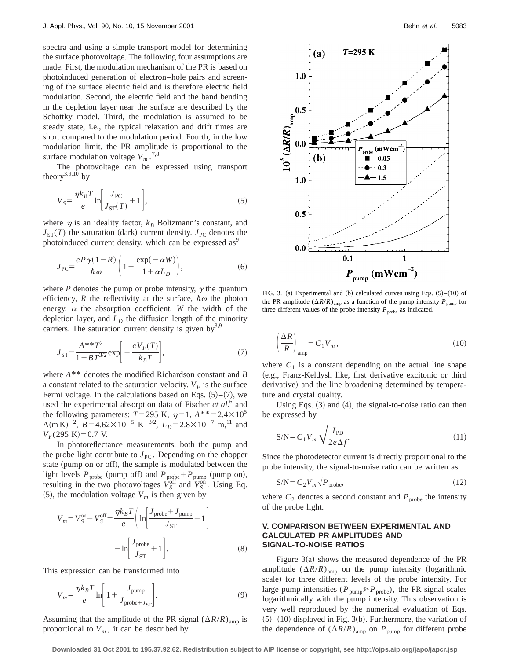spectra and using a simple transport model for determining the surface photovoltage. The following four assumptions are made. First, the modulation mechanism of the PR is based on photoinduced generation of electron–hole pairs and screening of the surface electric field and is therefore electric field modulation. Second, the electric field and the band bending in the depletion layer near the surface are described by the Schottky model. Third, the modulation is assumed to be steady state, i.e., the typical relaxation and drift times are short compared to the modulation period. Fourth, in the low modulation limit, the PR amplitude is proportional to the surface modulation voltage  $V_m$ .<sup>7,8</sup>

The photovoltage can be expressed using transport theory<sup>3,9,10</sup> by

$$
V_S = \frac{\eta k_B T}{e} \ln \left[ \frac{J_{\rm PC}}{J_{\rm ST}(T)} + 1 \right],\tag{5}
$$

where  $\eta$  is an ideality factor,  $k_B$  Boltzmann's constant, and  $J_{ST}(T)$  the saturation (dark) current density.  $J_{PC}$  denotes the photoinduced current density, which can be expressed as<sup>9</sup>

$$
J_{\rm PC} = \frac{e P \gamma (1 - R)}{\hbar \omega} \left( 1 - \frac{\exp(-\alpha W)}{1 + \alpha L_D} \right),\tag{6}
$$

where  $P$  denotes the pump or probe intensity,  $\gamma$  the quantum efficiency, *R* the reflectivity at the surface,  $\hbar \omega$  the photon energy,  $\alpha$  the absorption coefficient, *W* the width of the depletion layer, and  $L<sub>D</sub>$  the diffusion length of the minority carriers. The saturation current density is given by  $3.9$ 

$$
J_{\rm ST} = \frac{A^{*T^2}}{1 + BT^{3/2}} \exp\bigg[-\frac{eV_F(T)}{k_B T}\bigg],\tag{7}
$$

where *A*\*\* denotes the modified Richardson constant and *B* a constant related to the saturation velocity.  $V_F$  is the surface Fermi voltage. In the calculations based on Eqs.  $(5)$ – $(7)$ , we used the experimental absorption data of Fischer *et al.*<sup>6</sup> and the following parameters:  $T=295$  K,  $\eta=1, A^{**}=2.4\times10^5$ A(m K)<sup>-2</sup>,  $B = 4.62 \times 10^{-5}$  K<sup>-3/2</sup>,  $L_D = 2.8 \times 10^{-7}$  m,<sup>11</sup> and  $V_F(295 \text{ K}) = 0.7 \text{ V}.$ 

In photoreflectance measurements, both the pump and the probe light contribute to  $J_{PC}$ . Depending on the chopper state (pump on or off), the sample is modulated between the light levels  $P_{\text{probe}}$  (pump off) and  $P_{\text{probe}} + P_{\text{pump}}$  (pump on), resulting in the two photovoltages  $V_S^{\text{off}}$  and  $V_S^{\text{on}}$ . Using Eq.  $(5)$ , the modulation voltage  $V_m$  is then given by

$$
V_m = V_S^{\text{on}} - V_S^{\text{off}} = \frac{\eta k_B T}{e} \left( \ln \left[ \frac{J_{\text{probe}} + J_{\text{pump}}}{J_{\text{ST}}} + 1 \right] - \ln \left[ \frac{J_{\text{probe}}}{J_{\text{ST}}} + 1 \right]. \tag{8}
$$

This expression can be transformed into

$$
V_m = \frac{\eta k_B T}{e} \ln \left[ 1 + \frac{J_{\text{pump}}}{J_{\text{probe}+J_{\text{ST}}}} \right].
$$
 (9)

Assuming that the amplitude of the PR signal  $(\Delta R/R)_{\text{amp}}$  is proportional to  $V_m$ , it can be described by



FIG. 3. (a) Experimental and (b) calculated curves using Eqs.  $(5)$ – $(10)$  of the PR amplitude  $(\Delta R/R)_{\text{amp}}$  as a function of the pump intensity  $P_{\text{pump}}$  for three different values of the probe intensity  $P_{\text{probe}}$  as indicated.

$$
\left(\frac{\Delta R}{R}\right)_{\text{amp}} = C_1 V_m,\tag{10}
$$

where  $C_1$  is a constant depending on the actual line shape (e.g., Franz-Keldysh like, first derivative excitonic or third derivative) and the line broadening determined by temperature and crystal quality.

Using Eqs.  $(3)$  and  $(4)$ , the signal-to-noise ratio can then be expressed by

$$
S/N = C_1 V_m \sqrt{\frac{I_{\rm PD}}{2e\Delta f}}.\tag{11}
$$

Since the photodetector current is directly proportional to the probe intensity, the signal-to-noise ratio can be written as

$$
S/N = C_2 V_m \sqrt{P_{\text{probe}}},\tag{12}
$$

where  $C_2$  denotes a second constant and  $P_{\text{probe}}$  the intensity of the probe light.

## **V. COMPARISON BETWEEN EXPERIMENTAL AND CALCULATED PR AMPLITUDES AND SIGNAL-TO-NOISE RATIOS**

Figure  $3(a)$  shows the measured dependence of the PR amplitude  $(\Delta R/R)_{\text{amp}}$  on the pump intensity (logarithmic scale) for three different levels of the probe intensity. For large pump intensities ( $P_{\text{pump}} \gg P_{\text{probe}}$ ), the PR signal scales logarithmically with the pump intensity. This observation is very well reproduced by the numerical evaluation of Eqs.  $(5)–(10)$  displayed in Fig. 3(b). Furthermore, the variation of the dependence of  $(\Delta R/R)_{\text{amp}}$  on  $P_{\text{pump}}$  for different probe

**Downloaded 31 Oct 2001 to 195.37.92.62. Redistribution subject to AIP license or copyright, see http://ojps.aip.org/japo/japcr.jsp**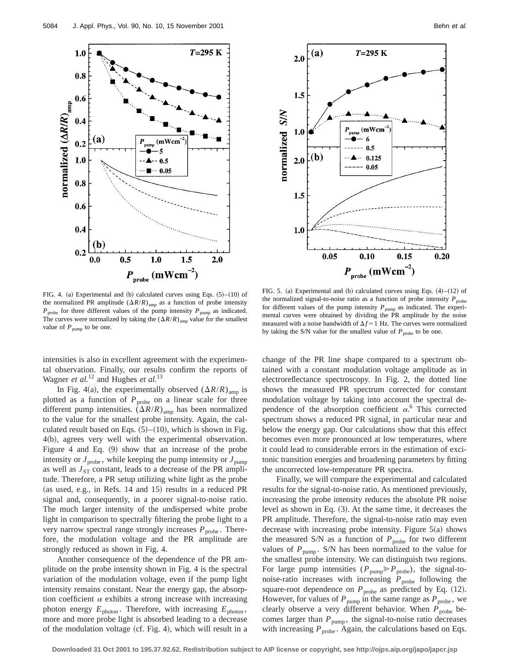



FIG. 4. (a) Experimental and (b) calculated curves using Eqs.  $(5)–(10)$  of the normalized PR amplitude  $(\Delta R/R)_{\text{amp}}$  as a function of probe intensity  $P_{\text{probe}}$  for three different values of the pump intensity  $P_{\text{pump}}$  as indicated. The curves were normalized by taking the  $(\Delta R/R)_{\text{amp}}$  value for the smallest value of  $P_{\text{pump}}$  to be one.

FIG. 5. (a) Experimental and (b) calculated curves using Eqs.  $(4)$ – $(12)$  of the normalized signal-to-noise ratio as a function of probe intensity  $P_{\text{probe}}$ for different values of the pump intensity  $P_{\text{pump}}$  as indicated. The experimental curves were obtained by dividing the PR amplitude by the noise measured with a noise bandwidth of  $\Delta f = 1$  Hz. The curves were normalized by taking the S/N value for the smallest value of  $P_{\text{probe}}$  to be one.

intensities is also in excellent agreement with the experimental observation. Finally, our results confirm the reports of Wagner *et al.*<sup>12</sup> and Hughes *et al.*<sup>13</sup>

In Fig. 4(a), the experimentally observed  $(\Delta R/R)_{\text{amp}}$  is plotted as a function of  $P_{\text{probe}}$  on a linear scale for three different pump intensities.  $(\Delta R/R)_{\text{amp}}$  has been normalized to the value for the smallest probe intensity. Again, the calculated result based on Eqs.  $(5)–(10)$ , which is shown in Fig.  $4(b)$ , agrees very well with the experimental observation. Figure 4 and Eq.  $(9)$  show that an increase of the probe intensity or  $J_{\text{probe}}$ , while keeping the pump intensity or  $J_{\text{pump}}$ as well as  $J_{ST}$  constant, leads to a decrease of the PR amplitude. Therefore, a PR setup utilizing white light as the probe (as used, e.g., in Refs.  $14$  and  $15$ ) results in a reduced PR signal and, consequently, in a poorer signal-to-noise ratio. The much larger intensity of the undispersed white probe light in comparison to spectrally filtering the probe light to a very narrow spectral range strongly increases  $P_{\text{probe}}$ . Therefore, the modulation voltage and the PR amplitude are strongly reduced as shown in Fig. 4.

Another consequence of the dependence of the PR amplitude on the probe intensity shown in Fig. 4 is the spectral variation of the modulation voltage, even if the pump light intensity remains constant. Near the energy gap, the absorption coefficient  $\alpha$  exhibits a strong increase with increasing photon energy  $E_{\text{photon}}$ . Therefore, with increasing  $E_{\text{photon}}$ , more and more probe light is absorbed leading to a decrease of the modulation voltage (cf. Fig. 4), which will result in a change of the PR line shape compared to a spectrum obtained with a constant modulation voltage amplitude as in electroreflectance spectroscopy. In Fig. 2, the dotted line shows the measured PR spectrum corrected for constant modulation voltage by taking into account the spectral dependence of the absorption coefficient  $\alpha$ <sup>6</sup>. This corrected spectrum shows a reduced PR signal, in particular near and below the energy gap. Our calculations show that this effect becomes even more pronounced at low temperatures, where it could lead to considerable errors in the estimation of excitonic transition energies and broadening parameters by fitting the uncorrected low-temperature PR spectra.

Finally, we will compare the experimental and calculated results for the signal-to-noise ratio. As mentioned previously, increasing the probe intensity reduces the absolute PR noise level as shown in Eq.  $(3)$ . At the same time, it decreases the PR amplitude. Therefore, the signal-to-noise ratio may even decrease with increasing probe intensity. Figure  $5(a)$  shows the measured S/N as a function of  $P_{\text{probe}}$  for two different values of  $P_{pump}$ . S/N has been normalized to the value for the smallest probe intensity. We can distinguish two regions. For large pump intensities  $(P_{\text{pump}} \gg P_{\text{probe}})$ , the signal-tonoise-ratio increases with increasing  $P_{\text{probe}}$  following the square-root dependence on  $P_{\text{probe}}$  as predicted by Eq. (12). However, for values of  $P_{\text{pump}}$  in the same range as  $P_{\text{probe}}$ , we clearly observe a very different behavior. When  $P_{\text{probe}}$  becomes larger than  $P_{\text{pump}}$ , the signal-to-noise ratio decreases with increasing  $P_{\text{probe}}$ . Again, the calculations based on Eqs.